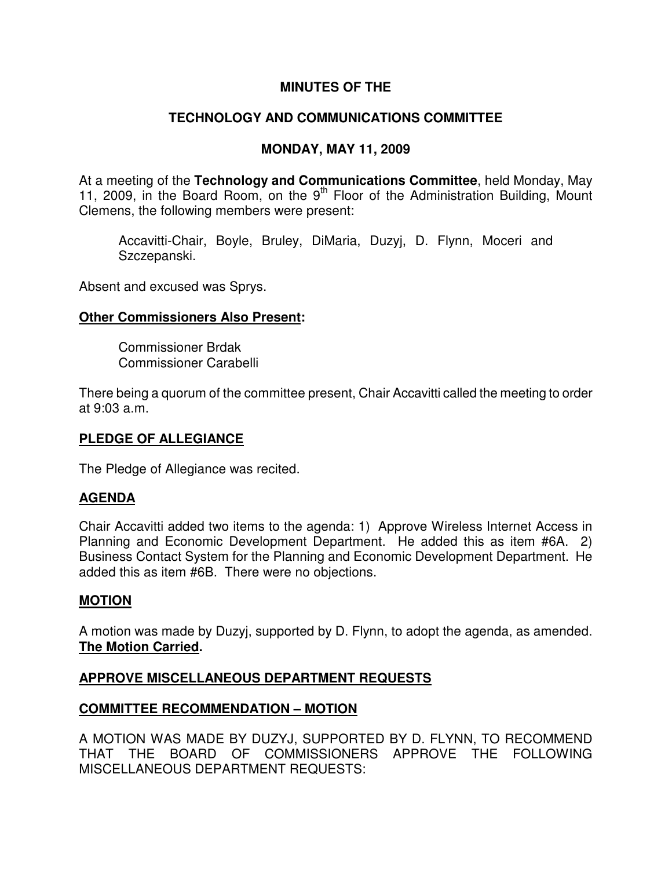## **MINUTES OF THE**

## **TECHNOLOGY AND COMMUNICATIONS COMMITTEE**

#### **MONDAY, MAY 11, 2009**

At a meeting of the **Technology and Communications Committee**, held Monday, May 11, 2009, in the Board Room, on the  $9<sup>th</sup>$  Floor of the Administration Building, Mount Clemens, the following members were present:

Accavitti-Chair, Boyle, Bruley, DiMaria, Duzyj, D. Flynn, Moceri and Szczepanski.

Absent and excused was Sprys.

#### **Other Commissioners Also Present:**

Commissioner Brdak Commissioner Carabelli

There being a quorum of the committee present, Chair Accavitti called the meeting to order at 9:03 a.m.

### **PLEDGE OF ALLEGIANCE**

The Pledge of Allegiance was recited.

### **AGENDA**

Chair Accavitti added two items to the agenda: 1) Approve Wireless Internet Access in Planning and Economic Development Department. He added this as item #6A. 2) Business Contact System for the Planning and Economic Development Department. He added this as item #6B. There were no objections.

#### **MOTION**

A motion was made by Duzyj, supported by D. Flynn, to adopt the agenda, as amended. **The Motion Carried.** 

### **APPROVE MISCELLANEOUS DEPARTMENT REQUESTS**

### **COMMITTEE RECOMMENDATION – MOTION**

A MOTION WAS MADE BY DUZYJ, SUPPORTED BY D. FLYNN, TO RECOMMEND THAT THE BOARD OF COMMISSIONERS APPROVE THE FOLLOWING MISCELLANEOUS DEPARTMENT REQUESTS: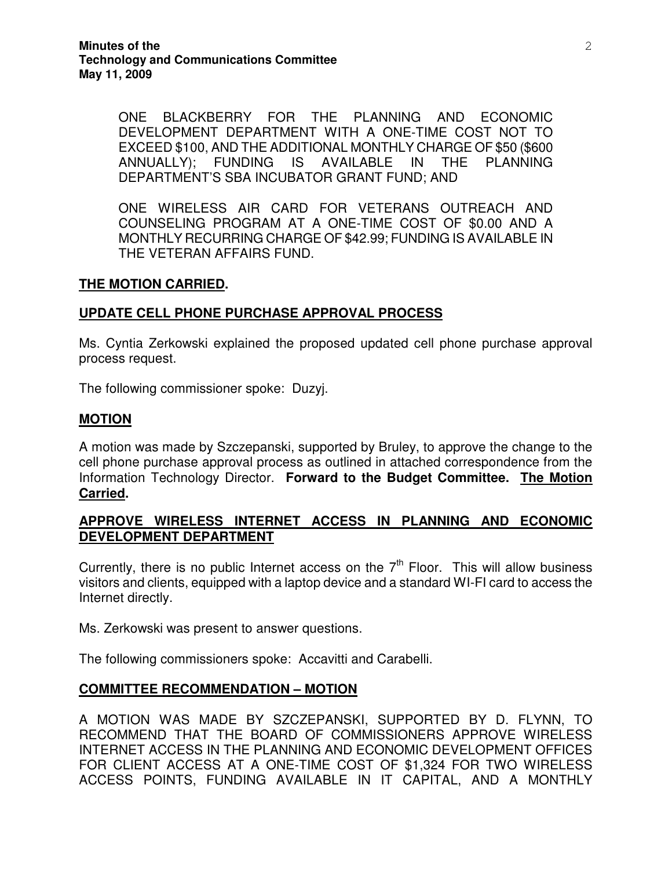ONE BLACKBERRY FOR THE PLANNING AND ECONOMIC DEVELOPMENT DEPARTMENT WITH A ONE-TIME COST NOT TO EXCEED \$100, AND THE ADDITIONAL MONTHLY CHARGE OF \$50 (\$600 ANNUALLY); FUNDING IS AVAILABLE IN THE PLANNING DEPARTMENT'S SBA INCUBATOR GRANT FUND; AND

ONE WIRELESS AIR CARD FOR VETERANS OUTREACH AND COUNSELING PROGRAM AT A ONE-TIME COST OF \$0.00 AND A MONTHLY RECURRING CHARGE OF \$42.99; FUNDING IS AVAILABLE IN THE VETERAN AFFAIRS FUND.

### **THE MOTION CARRIED.**

## **UPDATE CELL PHONE PURCHASE APPROVAL PROCESS**

Ms. Cyntia Zerkowski explained the proposed updated cell phone purchase approval process request.

The following commissioner spoke: Duzyj.

### **MOTION**

A motion was made by Szczepanski, supported by Bruley, to approve the change to the cell phone purchase approval process as outlined in attached correspondence from the Information Technology Director. **Forward to the Budget Committee. The Motion Carried.** 

## **APPROVE WIRELESS INTERNET ACCESS IN PLANNING AND ECONOMIC DEVELOPMENT DEPARTMENT**

Currently, there is no public Internet access on the  $7<sup>th</sup>$  Floor. This will allow business visitors and clients, equipped with a laptop device and a standard WI-FI card to access the Internet directly.

Ms. Zerkowski was present to answer questions.

The following commissioners spoke: Accavitti and Carabelli.

### **COMMITTEE RECOMMENDATION – MOTION**

A MOTION WAS MADE BY SZCZEPANSKI, SUPPORTED BY D. FLYNN, TO RECOMMEND THAT THE BOARD OF COMMISSIONERS APPROVE WIRELESS INTERNET ACCESS IN THE PLANNING AND ECONOMIC DEVELOPMENT OFFICES FOR CLIENT ACCESS AT A ONE-TIME COST OF \$1,324 FOR TWO WIRELESS ACCESS POINTS, FUNDING AVAILABLE IN IT CAPITAL, AND A MONTHLY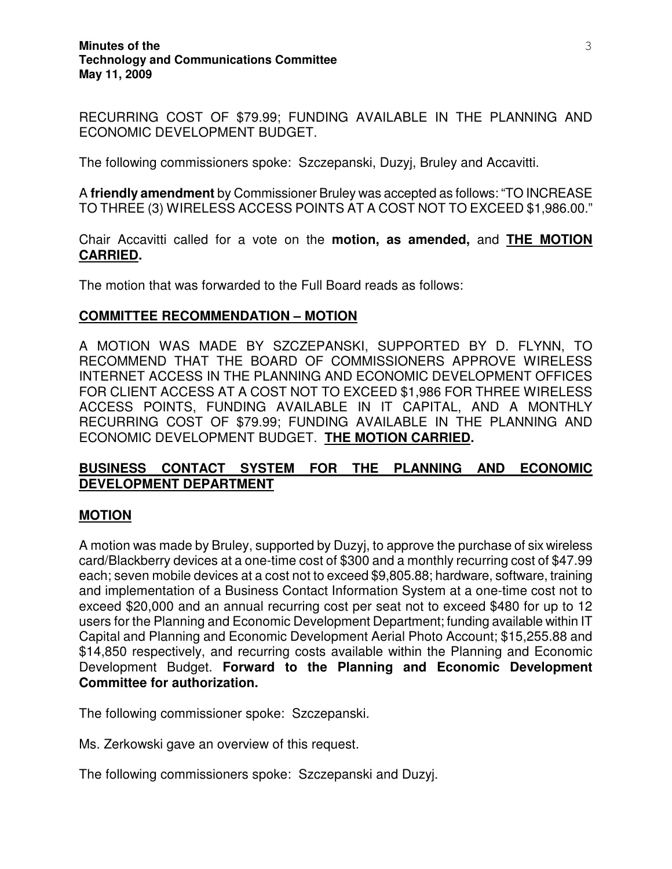RECURRING COST OF \$79.99; FUNDING AVAILABLE IN THE PLANNING AND ECONOMIC DEVELOPMENT BUDGET.

The following commissioners spoke: Szczepanski, Duzyj, Bruley and Accavitti.

A **friendly amendment** by Commissioner Bruley was accepted as follows: "TO INCREASE TO THREE (3) WIRELESS ACCESS POINTS AT A COST NOT TO EXCEED \$1,986.00."

Chair Accavitti called for a vote on the **motion, as amended,** and **THE MOTION CARRIED.**

The motion that was forwarded to the Full Board reads as follows:

### **COMMITTEE RECOMMENDATION – MOTION**

A MOTION WAS MADE BY SZCZEPANSKI, SUPPORTED BY D. FLYNN, TO RECOMMEND THAT THE BOARD OF COMMISSIONERS APPROVE WIRELESS INTERNET ACCESS IN THE PLANNING AND ECONOMIC DEVELOPMENT OFFICES FOR CLIENT ACCESS AT A COST NOT TO EXCEED \$1,986 FOR THREE WIRELESS ACCESS POINTS, FUNDING AVAILABLE IN IT CAPITAL, AND A MONTHLY RECURRING COST OF \$79.99; FUNDING AVAILABLE IN THE PLANNING AND ECONOMIC DEVELOPMENT BUDGET. **THE MOTION CARRIED.** 

# **BUSINESS CONTACT SYSTEM FOR THE PLANNING AND ECONOMIC DEVELOPMENT DEPARTMENT**

### **MOTION**

A motion was made by Bruley, supported by Duzyj, to approve the purchase of six wireless card/Blackberry devices at a one-time cost of \$300 and a monthly recurring cost of \$47.99 each; seven mobile devices at a cost not to exceed \$9,805.88; hardware, software, training and implementation of a Business Contact Information System at a one-time cost not to exceed \$20,000 and an annual recurring cost per seat not to exceed \$480 for up to 12 users for the Planning and Economic Development Department; funding available within IT Capital and Planning and Economic Development Aerial Photo Account; \$15,255.88 and \$14,850 respectively, and recurring costs available within the Planning and Economic Development Budget. **Forward to the Planning and Economic Development Committee for authorization.**

The following commissioner spoke: Szczepanski.

Ms. Zerkowski gave an overview of this request.

The following commissioners spoke: Szczepanski and Duzyj.